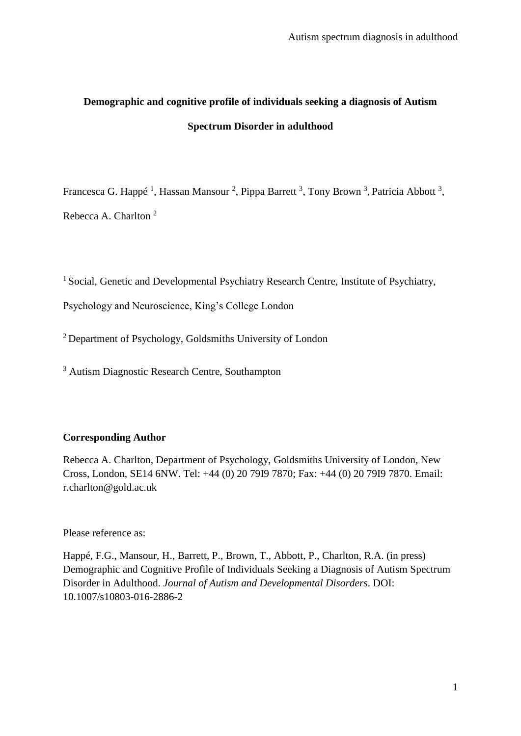# **Demographic and cognitive profile of individuals seeking a diagnosis of Autism Spectrum Disorder in adulthood**

Francesca G. Happé<sup>1</sup>, Hassan Mansour<sup>2</sup>, Pippa Barrett<sup>3</sup>, Tony Brown<sup>3</sup>, Patricia Abbott<sup>3</sup>, Rebecca A. Charlton <sup>2</sup>

<sup>1</sup> Social, Genetic and Developmental Psychiatry Research Centre, Institute of Psychiatry,

Psychology and Neuroscience, King's College London

<sup>2</sup>Department of Psychology, Goldsmiths University of London

<sup>3</sup> Autism Diagnostic Research Centre, Southampton

# **Corresponding Author**

Rebecca A. Charlton, Department of Psychology, Goldsmiths University of London, New Cross, London, SE14 6NW. Tel: +44 (0) 20 79I9 7870; Fax: +44 (0) 20 79I9 7870. Email: r.charlton@gold.ac.uk

Please reference as:

Happé, F.G., Mansour, H., Barrett, P., Brown, T., Abbott, P., Charlton, R.A. (in press) Demographic and Cognitive Profile of Individuals Seeking a Diagnosis of Autism Spectrum Disorder in Adulthood. *Journal of Autism and Developmental Disorders*. DOI: 10.1007/s10803-016-2886-2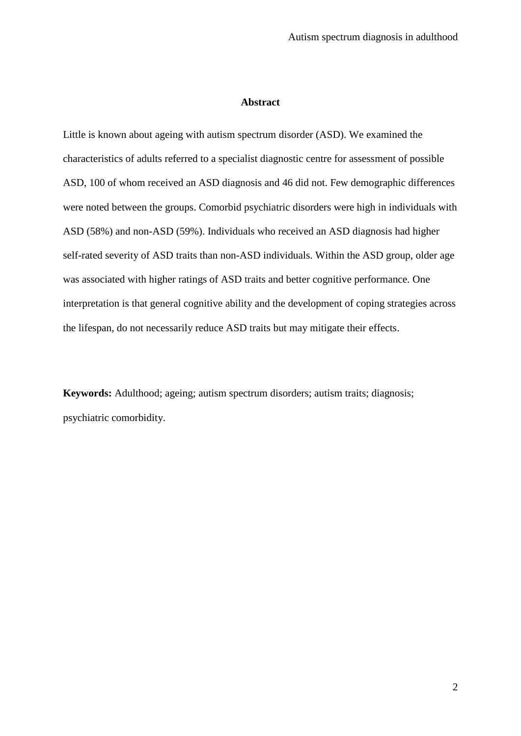### **Abstract**

Little is known about ageing with autism spectrum disorder (ASD). We examined the characteristics of adults referred to a specialist diagnostic centre for assessment of possible ASD, 100 of whom received an ASD diagnosis and 46 did not. Few demographic differences were noted between the groups. Comorbid psychiatric disorders were high in individuals with ASD (58%) and non-ASD (59%). Individuals who received an ASD diagnosis had higher self-rated severity of ASD traits than non-ASD individuals. Within the ASD group, older age was associated with higher ratings of ASD traits and better cognitive performance. One interpretation is that general cognitive ability and the development of coping strategies across the lifespan, do not necessarily reduce ASD traits but may mitigate their effects.

**Keywords:** Adulthood; ageing; autism spectrum disorders; autism traits; diagnosis; psychiatric comorbidity.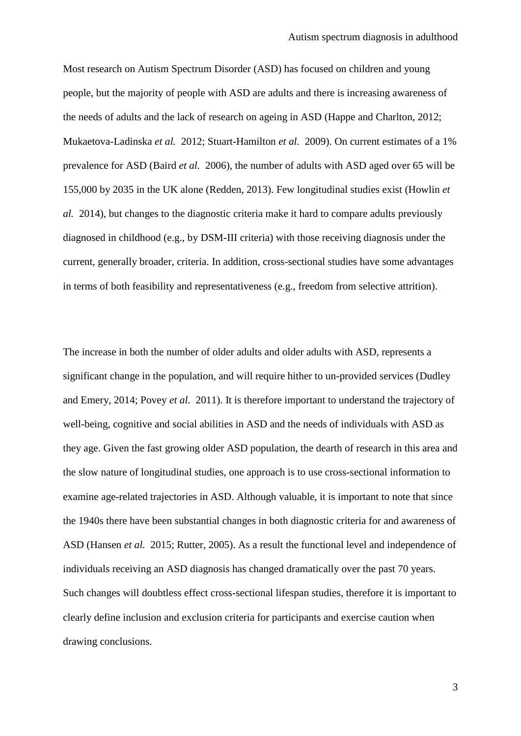Most research on Autism Spectrum Disorder (ASD) has focused on children and young people, but the majority of people with ASD are adults and there is increasing awareness of the needs of adults and the lack of research on ageing in ASD (Happe and Charlton, 2012; Mukaetova-Ladinska *et al.* 2012; Stuart-Hamilton *et al.* 2009). On current estimates of a 1% prevalence for ASD (Baird *et al.* 2006), the number of adults with ASD aged over 65 will be 155,000 by 2035 in the UK alone (Redden, 2013). Few longitudinal studies exist (Howlin *et al.* 2014), but changes to the diagnostic criteria make it hard to compare adults previously diagnosed in childhood (e.g., by DSM-III criteria) with those receiving diagnosis under the current, generally broader, criteria. In addition, cross-sectional studies have some advantages in terms of both feasibility and representativeness (e.g., freedom from selective attrition).

The increase in both the number of older adults and older adults with ASD, represents a significant change in the population, and will require hither to un-provided services (Dudley and Emery, 2014; Povey *et al.* 2011). It is therefore important to understand the trajectory of well-being, cognitive and social abilities in ASD and the needs of individuals with ASD as they age. Given the fast growing older ASD population, the dearth of research in this area and the slow nature of longitudinal studies, one approach is to use cross-sectional information to examine age-related trajectories in ASD. Although valuable, it is important to note that since the 1940s there have been substantial changes in both diagnostic criteria for and awareness of ASD (Hansen *et al.* 2015; Rutter, 2005). As a result the functional level and independence of individuals receiving an ASD diagnosis has changed dramatically over the past 70 years. Such changes will doubtless effect cross-sectional lifespan studies, therefore it is important to clearly define inclusion and exclusion criteria for participants and exercise caution when drawing conclusions.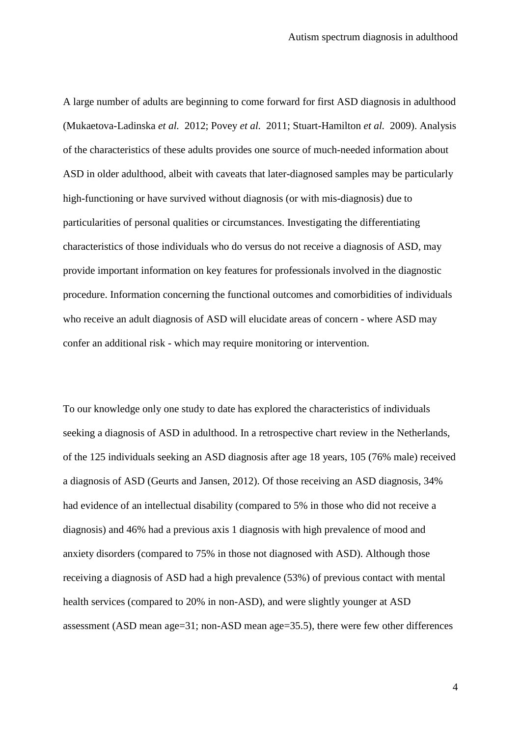A large number of adults are beginning to come forward for first ASD diagnosis in adulthood (Mukaetova-Ladinska *et al.* 2012; Povey *et al.* 2011; Stuart-Hamilton *et al.* 2009). Analysis of the characteristics of these adults provides one source of much-needed information about ASD in older adulthood, albeit with caveats that later-diagnosed samples may be particularly high-functioning or have survived without diagnosis (or with mis-diagnosis) due to particularities of personal qualities or circumstances. Investigating the differentiating characteristics of those individuals who do versus do not receive a diagnosis of ASD, may provide important information on key features for professionals involved in the diagnostic procedure. Information concerning the functional outcomes and comorbidities of individuals who receive an adult diagnosis of ASD will elucidate areas of concern - where ASD may confer an additional risk - which may require monitoring or intervention.

To our knowledge only one study to date has explored the characteristics of individuals seeking a diagnosis of ASD in adulthood. In a retrospective chart review in the Netherlands, of the 125 individuals seeking an ASD diagnosis after age 18 years, 105 (76% male) received a diagnosis of ASD (Geurts and Jansen, 2012). Of those receiving an ASD diagnosis, 34% had evidence of an intellectual disability (compared to 5% in those who did not receive a diagnosis) and 46% had a previous axis 1 diagnosis with high prevalence of mood and anxiety disorders (compared to 75% in those not diagnosed with ASD). Although those receiving a diagnosis of ASD had a high prevalence (53%) of previous contact with mental health services (compared to 20% in non-ASD), and were slightly younger at ASD assessment (ASD mean age=31; non-ASD mean age=35.5), there were few other differences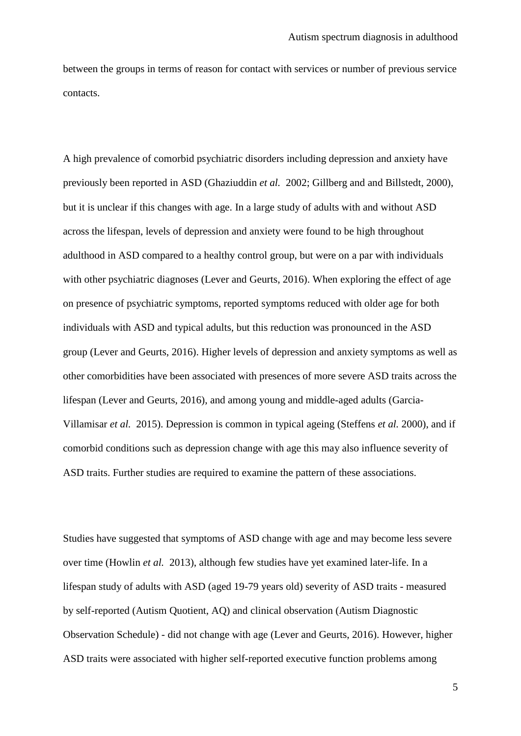between the groups in terms of reason for contact with services or number of previous service contacts.

A high prevalence of comorbid psychiatric disorders including depression and anxiety have previously been reported in ASD (Ghaziuddin *et al.* 2002; Gillberg and and Billstedt, 2000), but it is unclear if this changes with age. In a large study of adults with and without ASD across the lifespan, levels of depression and anxiety were found to be high throughout adulthood in ASD compared to a healthy control group, but were on a par with individuals with other psychiatric diagnoses (Lever and Geurts, 2016). When exploring the effect of age on presence of psychiatric symptoms, reported symptoms reduced with older age for both individuals with ASD and typical adults, but this reduction was pronounced in the ASD group (Lever and Geurts, 2016). Higher levels of depression and anxiety symptoms as well as other comorbidities have been associated with presences of more severe ASD traits across the lifespan (Lever and Geurts, 2016), and among young and middle-aged adults (Garcia-Villamisar *et al.* 2015). Depression is common in typical ageing (Steffens *et al.* 2000), and if comorbid conditions such as depression change with age this may also influence severity of ASD traits. Further studies are required to examine the pattern of these associations.

Studies have suggested that symptoms of ASD change with age and may become less severe over time (Howlin *et al.* 2013), although few studies have yet examined later-life. In a lifespan study of adults with ASD (aged 19-79 years old) severity of ASD traits - measured by self-reported (Autism Quotient, AQ) and clinical observation (Autism Diagnostic Observation Schedule) - did not change with age (Lever and Geurts, 2016). However, higher ASD traits were associated with higher self-reported executive function problems among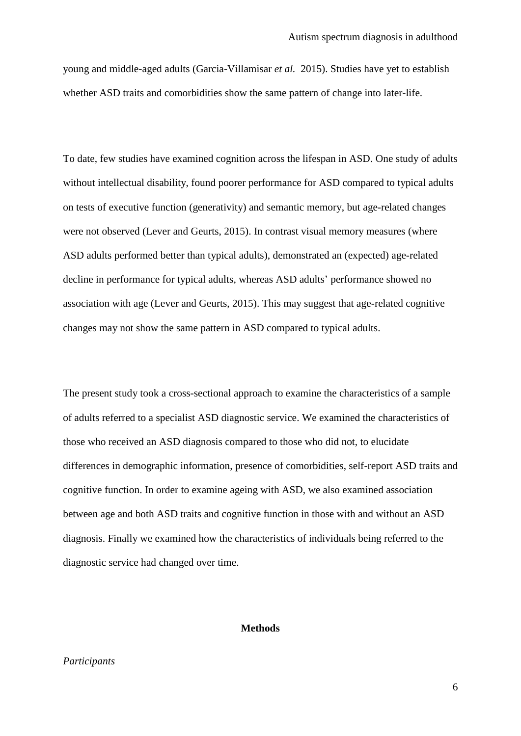young and middle-aged adults (Garcia-Villamisar *et al.* 2015). Studies have yet to establish whether ASD traits and comorbidities show the same pattern of change into later-life.

To date, few studies have examined cognition across the lifespan in ASD. One study of adults without intellectual disability, found poorer performance for ASD compared to typical adults on tests of executive function (generativity) and semantic memory, but age-related changes were not observed (Lever and Geurts, 2015). In contrast visual memory measures (where ASD adults performed better than typical adults), demonstrated an (expected) age-related decline in performance for typical adults, whereas ASD adults' performance showed no association with age (Lever and Geurts, 2015). This may suggest that age-related cognitive changes may not show the same pattern in ASD compared to typical adults.

The present study took a cross-sectional approach to examine the characteristics of a sample of adults referred to a specialist ASD diagnostic service. We examined the characteristics of those who received an ASD diagnosis compared to those who did not, to elucidate differences in demographic information, presence of comorbidities, self-report ASD traits and cognitive function. In order to examine ageing with ASD, we also examined association between age and both ASD traits and cognitive function in those with and without an ASD diagnosis. Finally we examined how the characteristics of individuals being referred to the diagnostic service had changed over time.

### **Methods**

# *Participants*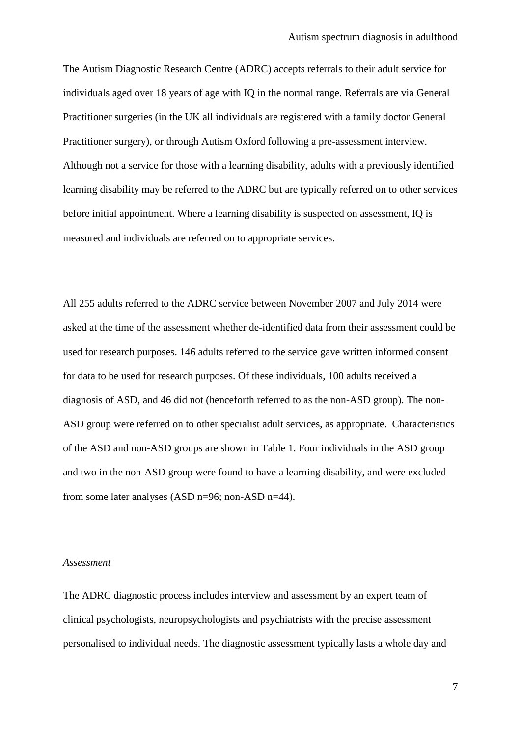The Autism Diagnostic Research Centre (ADRC) accepts referrals to their adult service for individuals aged over 18 years of age with IQ in the normal range. Referrals are via General Practitioner surgeries (in the UK all individuals are registered with a family doctor General Practitioner surgery), or through Autism Oxford following a pre-assessment interview. Although not a service for those with a learning disability, adults with a previously identified learning disability may be referred to the ADRC but are typically referred on to other services before initial appointment. Where a learning disability is suspected on assessment, IQ is measured and individuals are referred on to appropriate services.

All 255 adults referred to the ADRC service between November 2007 and July 2014 were asked at the time of the assessment whether de-identified data from their assessment could be used for research purposes. 146 adults referred to the service gave written informed consent for data to be used for research purposes. Of these individuals, 100 adults received a diagnosis of ASD, and 46 did not (henceforth referred to as the non-ASD group). The non-ASD group were referred on to other specialist adult services, as appropriate. Characteristics of the ASD and non-ASD groups are shown in Table 1. Four individuals in the ASD group and two in the non-ASD group were found to have a learning disability, and were excluded from some later analyses (ASD n=96; non-ASD n=44).

#### *Assessment*

The ADRC diagnostic process includes interview and assessment by an expert team of clinical psychologists, neuropsychologists and psychiatrists with the precise assessment personalised to individual needs. The diagnostic assessment typically lasts a whole day and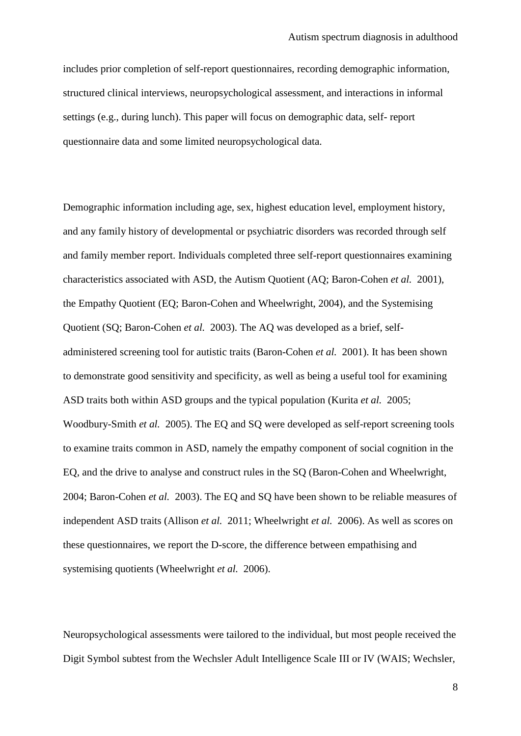includes prior completion of self-report questionnaires, recording demographic information, structured clinical interviews, neuropsychological assessment, and interactions in informal settings (e.g., during lunch). This paper will focus on demographic data, self- report questionnaire data and some limited neuropsychological data.

Demographic information including age, sex, highest education level, employment history, and any family history of developmental or psychiatric disorders was recorded through self and family member report. Individuals completed three self-report questionnaires examining characteristics associated with ASD, the Autism Quotient (AQ; Baron-Cohen *et al.* 2001), the Empathy Quotient (EQ; Baron-Cohen and Wheelwright, 2004), and the Systemising Quotient (SQ; Baron-Cohen *et al.* 2003). The AQ was developed as a brief, selfadministered screening tool for autistic traits (Baron-Cohen *et al.* 2001). It has been shown to demonstrate good sensitivity and specificity, as well as being a useful tool for examining ASD traits both within ASD groups and the typical population (Kurita *et al.* 2005; Woodbury-Smith *et al.* 2005). The EQ and SQ were developed as self-report screening tools to examine traits common in ASD, namely the empathy component of social cognition in the EQ, and the drive to analyse and construct rules in the SQ (Baron-Cohen and Wheelwright, 2004; Baron-Cohen *et al.* 2003). The EQ and SQ have been shown to be reliable measures of independent ASD traits (Allison *et al.* 2011; Wheelwright *et al.* 2006). As well as scores on these questionnaires, we report the D-score, the difference between empathising and systemising quotients (Wheelwright *et al.* 2006).

Neuropsychological assessments were tailored to the individual, but most people received the Digit Symbol subtest from the Wechsler Adult Intelligence Scale III or IV (WAIS; Wechsler,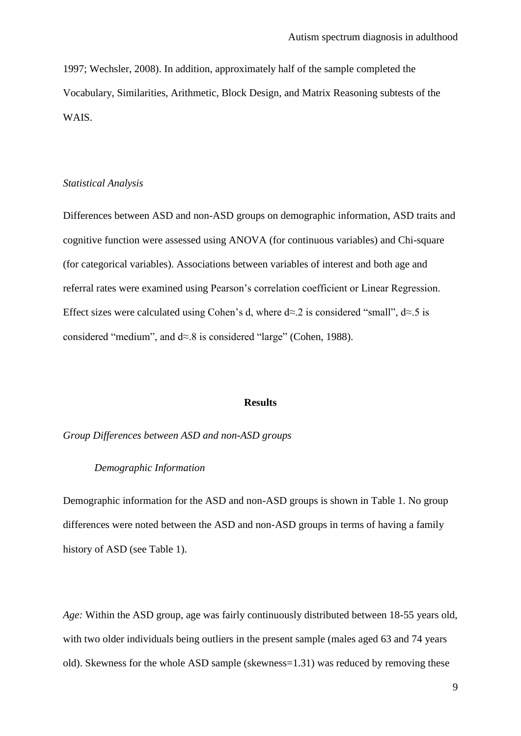1997; Wechsler, 2008). In addition, approximately half of the sample completed the Vocabulary, Similarities, Arithmetic, Block Design, and Matrix Reasoning subtests of the WAIS.

#### *Statistical Analysis*

Differences between ASD and non-ASD groups on demographic information, ASD traits and cognitive function were assessed using ANOVA (for continuous variables) and Chi-square (for categorical variables). Associations between variables of interest and both age and referral rates were examined using Pearson's correlation coefficient or Linear Regression. Effect sizes were calculated using Cohen's d, where  $d \approx 2$  is considered "small",  $d \approx 5$  is considered "medium", and d≈.8 is considered "large" (Cohen, 1988).

#### **Results**

*Group Differences between ASD and non-ASD groups*

### *Demographic Information*

Demographic information for the ASD and non-ASD groups is shown in Table 1. No group differences were noted between the ASD and non-ASD groups in terms of having a family history of ASD (see Table 1).

*Age:* Within the ASD group, age was fairly continuously distributed between 18-55 years old, with two older individuals being outliers in the present sample (males aged 63 and 74 years old). Skewness for the whole ASD sample (skewness=1.31) was reduced by removing these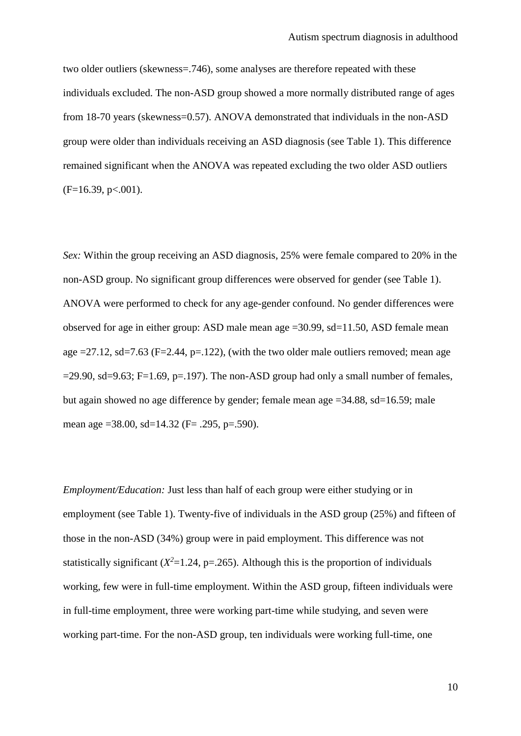two older outliers (skewness=.746), some analyses are therefore repeated with these individuals excluded. The non-ASD group showed a more normally distributed range of ages from 18-70 years (skewness=0.57). ANOVA demonstrated that individuals in the non-ASD group were older than individuals receiving an ASD diagnosis (see Table 1). This difference remained significant when the ANOVA was repeated excluding the two older ASD outliers  $(F=16.39, p<.001).$ 

*Sex:* Within the group receiving an ASD diagnosis, 25% were female compared to 20% in the non-ASD group. No significant group differences were observed for gender (see Table 1). ANOVA were performed to check for any age-gender confound. No gender differences were observed for age in either group: ASD male mean age =30.99, sd=11.50, ASD female mean age  $=27.12$ , sd=7.63 (F=2.44, p=.122), (with the two older male outliers removed; mean age  $=$ 29.90, sd=9.63; F=1.69, p=.197). The non-ASD group had only a small number of females, but again showed no age difference by gender; female mean age =34.88, sd=16.59; male mean age =38.00, sd=14.32 (F= .295, p=.590).

*Employment/Education:* Just less than half of each group were either studying or in employment (see Table 1). Twenty-five of individuals in the ASD group (25%) and fifteen of those in the non-ASD (34%) group were in paid employment. This difference was not statistically significant  $(X^2=1.24, p=.265)$ . Although this is the proportion of individuals working, few were in full-time employment. Within the ASD group, fifteen individuals were in full-time employment, three were working part-time while studying, and seven were working part-time. For the non-ASD group, ten individuals were working full-time, one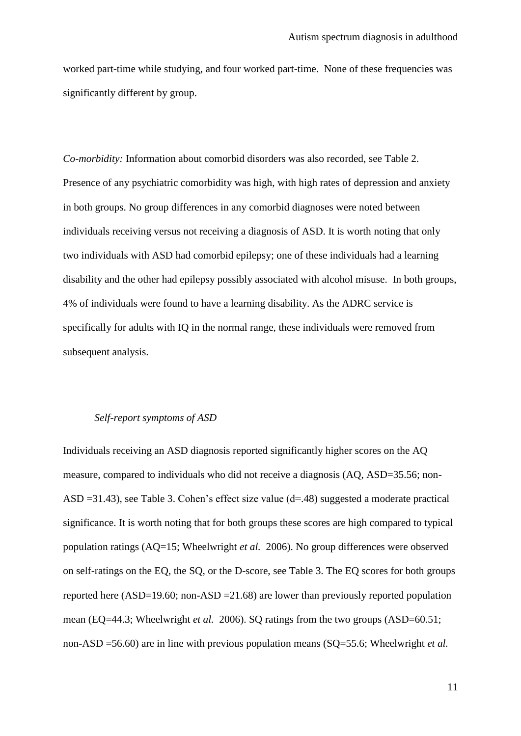worked part-time while studying, and four worked part-time. None of these frequencies was significantly different by group.

*Co-morbidity:* Information about comorbid disorders was also recorded, see Table 2. Presence of any psychiatric comorbidity was high, with high rates of depression and anxiety in both groups. No group differences in any comorbid diagnoses were noted between individuals receiving versus not receiving a diagnosis of ASD. It is worth noting that only two individuals with ASD had comorbid epilepsy; one of these individuals had a learning disability and the other had epilepsy possibly associated with alcohol misuse. In both groups, 4% of individuals were found to have a learning disability. As the ADRC service is specifically for adults with IQ in the normal range, these individuals were removed from subsequent analysis.

## *Self-report symptoms of ASD*

Individuals receiving an ASD diagnosis reported significantly higher scores on the AQ measure, compared to individuals who did not receive a diagnosis (AQ, ASD=35.56; non-ASD =31.43), see Table 3. Cohen's effect size value (d=.48) suggested a moderate practical significance. It is worth noting that for both groups these scores are high compared to typical population ratings (AQ=15; Wheelwright *et al.* 2006). No group differences were observed on self-ratings on the EQ, the SQ, or the D-score, see Table 3. The EQ scores for both groups reported here (ASD=19.60; non-ASD =21.68) are lower than previously reported population mean (EQ=44.3; Wheelwright *et al.* 2006). SQ ratings from the two groups (ASD=60.51; non-ASD =56.60) are in line with previous population means (SQ=55.6; Wheelwright *et al.*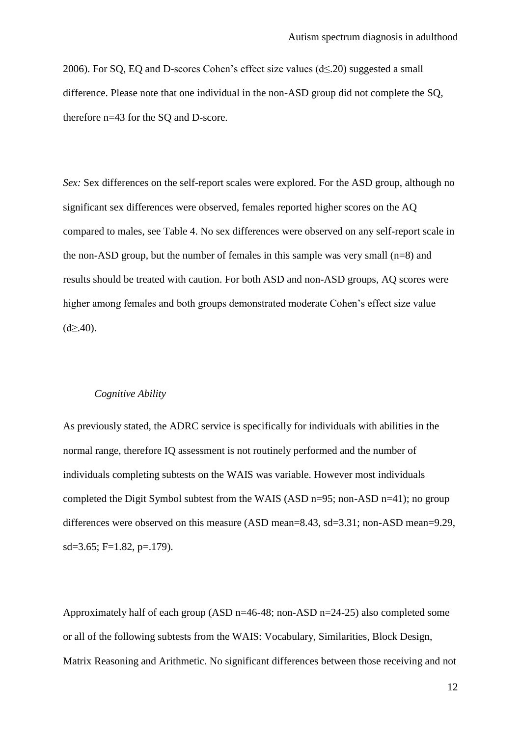2006). For SQ, EQ and D-scores Cohen's effect size values  $(d \le 20)$  suggested a small difference. Please note that one individual in the non-ASD group did not complete the SQ, therefore n=43 for the SQ and D-score.

*Sex:* Sex differences on the self-report scales were explored. For the ASD group, although no significant sex differences were observed, females reported higher scores on the AQ compared to males, see Table 4. No sex differences were observed on any self-report scale in the non-ASD group, but the number of females in this sample was very small  $(n=8)$  and results should be treated with caution. For both ASD and non-ASD groups, AQ scores were higher among females and both groups demonstrated moderate Cohen's effect size value  $(d \ge 0.40)$ .

#### *Cognitive Ability*

As previously stated, the ADRC service is specifically for individuals with abilities in the normal range, therefore IQ assessment is not routinely performed and the number of individuals completing subtests on the WAIS was variable. However most individuals completed the Digit Symbol subtest from the WAIS (ASD n=95; non-ASD n=41); no group differences were observed on this measure (ASD mean=8.43, sd=3.31; non-ASD mean=9.29,  $sd=3.65$ ; F=1.82, p=.179).

Approximately half of each group (ASD n=46-48; non-ASD n=24-25) also completed some or all of the following subtests from the WAIS: Vocabulary, Similarities, Block Design, Matrix Reasoning and Arithmetic. No significant differences between those receiving and not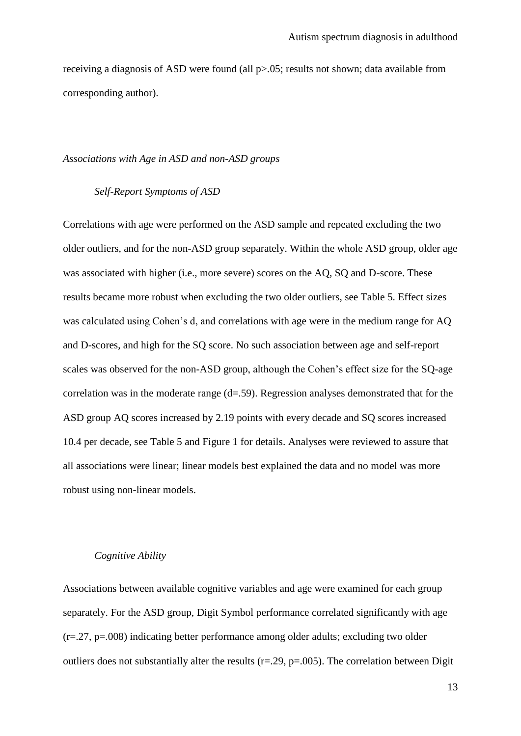receiving a diagnosis of ASD were found (all p>.05; results not shown; data available from corresponding author).

# *Associations with Age in ASD and non-ASD groups*

# *Self-Report Symptoms of ASD*

Correlations with age were performed on the ASD sample and repeated excluding the two older outliers, and for the non-ASD group separately. Within the whole ASD group, older age was associated with higher (i.e., more severe) scores on the AQ, SQ and D-score. These results became more robust when excluding the two older outliers, see Table 5. Effect sizes was calculated using Cohen's d, and correlations with age were in the medium range for AQ and D-scores, and high for the SQ score. No such association between age and self-report scales was observed for the non-ASD group, although the Cohen's effect size for the SQ-age correlation was in the moderate range (d=.59). Regression analyses demonstrated that for the ASD group AQ scores increased by 2.19 points with every decade and SQ scores increased 10.4 per decade, see Table 5 and Figure 1 for details. Analyses were reviewed to assure that all associations were linear; linear models best explained the data and no model was more robust using non-linear models.

#### *Cognitive Ability*

Associations between available cognitive variables and age were examined for each group separately. For the ASD group, Digit Symbol performance correlated significantly with age (r=.27, p=.008) indicating better performance among older adults; excluding two older outliers does not substantially alter the results ( $r = .29$ ,  $p = .005$ ). The correlation between Digit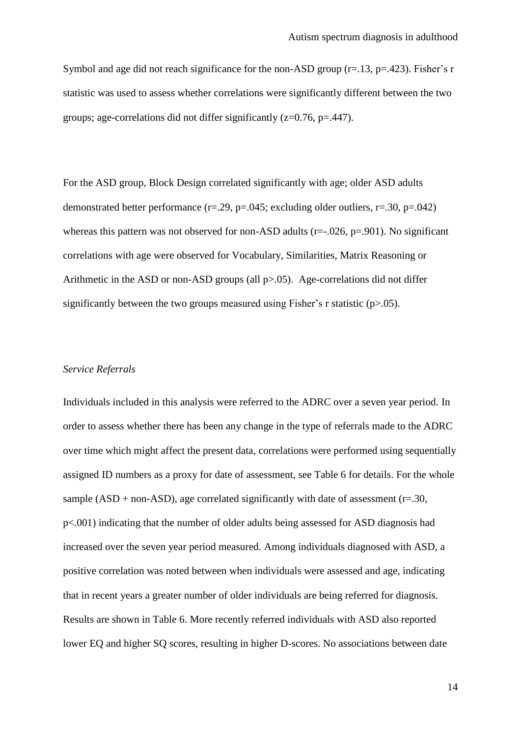Symbol and age did not reach significance for the non-ASD group  $(r=13, p=.423)$ . Fisher's r statistic was used to assess whether correlations were significantly different between the two groups; age-correlations did not differ significantly  $(z=0.76, p=.447)$ .

For the ASD group, Block Design correlated significantly with age; older ASD adults demonstrated better performance  $(r=.29, p=.045;$  excluding older outliers,  $r=.30, p=.042)$ whereas this pattern was not observed for non-ASD adults ( $r=-.026$ ,  $p=.901$ ). No significant correlations with age were observed for Vocabulary, Similarities, Matrix Reasoning or Arithmetic in the ASD or non-ASD groups (all p>.05). Age-correlations did not differ significantly between the two groups measured using Fisher's r statistic ( $p$  $> 0.05$ ).

#### *Service Referrals*

Individuals included in this analysis were referred to the ADRC over a seven year period. In order to assess whether there has been any change in the type of referrals made to the ADRC over time which might affect the present data, correlations were performed using sequentially assigned ID numbers as a proxy for date of assessment, see Table 6 for details. For the whole sample (ASD + non-ASD), age correlated significantly with date of assessment ( $r=.30$ , p<.001) indicating that the number of older adults being assessed for ASD diagnosis had increased over the seven year period measured. Among individuals diagnosed with ASD, a positive correlation was noted between when individuals were assessed and age, indicating that in recent years a greater number of older individuals are being referred for diagnosis. Results are shown in Table 6. More recently referred individuals with ASD also reported lower EQ and higher SQ scores, resulting in higher D-scores. No associations between date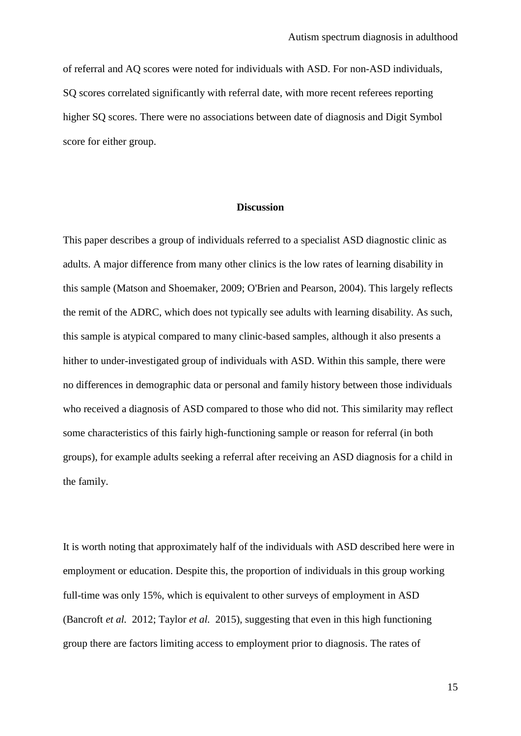of referral and AQ scores were noted for individuals with ASD. For non-ASD individuals, SQ scores correlated significantly with referral date, with more recent referees reporting higher SQ scores. There were no associations between date of diagnosis and Digit Symbol score for either group.

### **Discussion**

This paper describes a group of individuals referred to a specialist ASD diagnostic clinic as adults. A major difference from many other clinics is the low rates of learning disability in this sample (Matson and Shoemaker, 2009; O'Brien and Pearson, 2004). This largely reflects the remit of the ADRC, which does not typically see adults with learning disability. As such, this sample is atypical compared to many clinic-based samples, although it also presents a hither to under-investigated group of individuals with ASD. Within this sample, there were no differences in demographic data or personal and family history between those individuals who received a diagnosis of ASD compared to those who did not. This similarity may reflect some characteristics of this fairly high-functioning sample or reason for referral (in both groups), for example adults seeking a referral after receiving an ASD diagnosis for a child in the family.

It is worth noting that approximately half of the individuals with ASD described here were in employment or education. Despite this, the proportion of individuals in this group working full-time was only 15%, which is equivalent to other surveys of employment in ASD (Bancroft *et al.* 2012; Taylor *et al.* 2015), suggesting that even in this high functioning group there are factors limiting access to employment prior to diagnosis. The rates of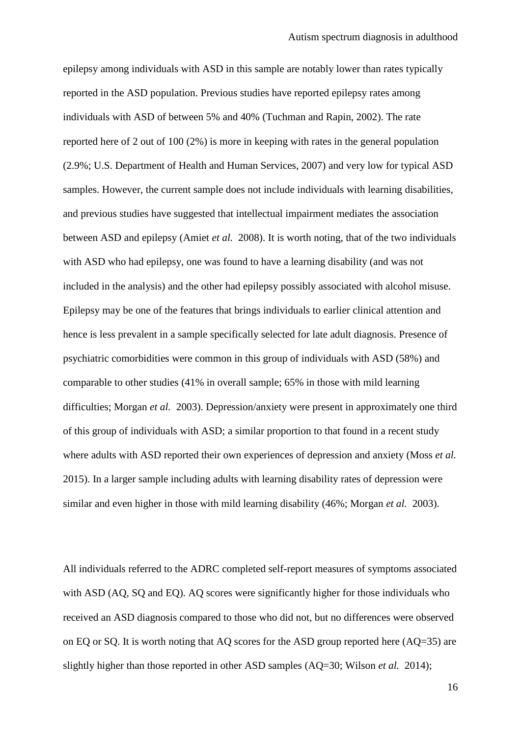epilepsy among individuals with ASD in this sample are notably lower than rates typically reported in the ASD population. Previous studies have reported epilepsy rates among individuals with ASD of between 5% and 40% (Tuchman and Rapin, 2002). The rate reported here of 2 out of 100 (2%) is more in keeping with rates in the general population (2.9%; U.S. Department of Health and Human Services, 2007) and very low for typical ASD samples. However, the current sample does not include individuals with learning disabilities, and previous studies have suggested that intellectual impairment mediates the association between ASD and epilepsy (Amiet *et al.* 2008). It is worth noting, that of the two individuals with ASD who had epilepsy, one was found to have a learning disability (and was not included in the analysis) and the other had epilepsy possibly associated with alcohol misuse. Epilepsy may be one of the features that brings individuals to earlier clinical attention and hence is less prevalent in a sample specifically selected for late adult diagnosis. Presence of psychiatric comorbidities were common in this group of individuals with ASD (58%) and comparable to other studies (41% in overall sample; 65% in those with mild learning difficulties; Morgan *et al.* 2003). Depression/anxiety were present in approximately one third of this group of individuals with ASD; a similar proportion to that found in a recent study where adults with ASD reported their own experiences of depression and anxiety (Moss *et al.* 2015). In a larger sample including adults with learning disability rates of depression were similar and even higher in those with mild learning disability (46%; Morgan *et al.* 2003).

All individuals referred to the ADRC completed self-report measures of symptoms associated with ASD (AQ, SQ and EQ). AQ scores were significantly higher for those individuals who received an ASD diagnosis compared to those who did not, but no differences were observed on EQ or SQ. It is worth noting that AQ scores for the ASD group reported here (AQ=35) are slightly higher than those reported in other ASD samples (AQ=30; Wilson *et al.* 2014);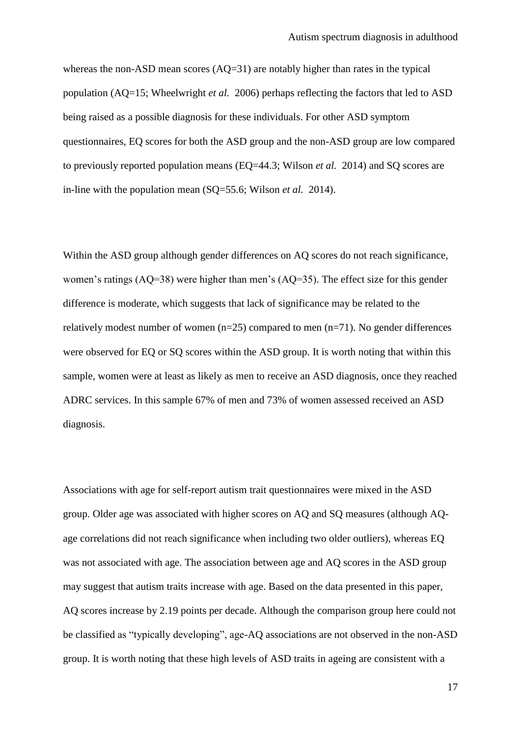whereas the non-ASD mean scores (AQ=31) are notably higher than rates in the typical population (AQ=15; Wheelwright *et al.* 2006) perhaps reflecting the factors that led to ASD being raised as a possible diagnosis for these individuals. For other ASD symptom questionnaires, EQ scores for both the ASD group and the non-ASD group are low compared to previously reported population means (EQ=44.3; Wilson *et al.* 2014) and SQ scores are in-line with the population mean (SQ=55.6; Wilson *et al.* 2014).

Within the ASD group although gender differences on AO scores do not reach significance, women's ratings (AQ=38) were higher than men's (AQ=35). The effect size for this gender difference is moderate, which suggests that lack of significance may be related to the relatively modest number of women  $(n=25)$  compared to men  $(n=71)$ . No gender differences were observed for EQ or SQ scores within the ASD group. It is worth noting that within this sample, women were at least as likely as men to receive an ASD diagnosis, once they reached ADRC services. In this sample 67% of men and 73% of women assessed received an ASD diagnosis.

Associations with age for self-report autism trait questionnaires were mixed in the ASD group. Older age was associated with higher scores on AQ and SQ measures (although AQage correlations did not reach significance when including two older outliers), whereas EQ was not associated with age. The association between age and AQ scores in the ASD group may suggest that autism traits increase with age. Based on the data presented in this paper, AQ scores increase by 2.19 points per decade. Although the comparison group here could not be classified as "typically developing", age-AQ associations are not observed in the non-ASD group. It is worth noting that these high levels of ASD traits in ageing are consistent with a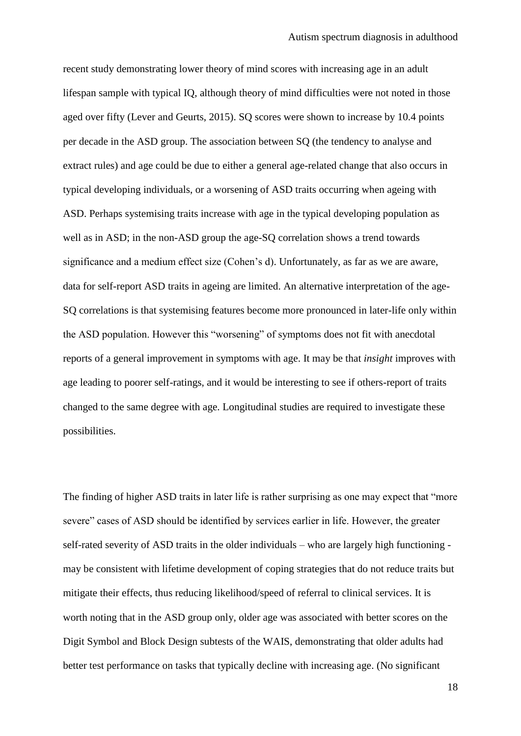recent study demonstrating lower theory of mind scores with increasing age in an adult lifespan sample with typical IQ, although theory of mind difficulties were not noted in those aged over fifty (Lever and Geurts, 2015). SQ scores were shown to increase by 10.4 points per decade in the ASD group. The association between SQ (the tendency to analyse and extract rules) and age could be due to either a general age-related change that also occurs in typical developing individuals, or a worsening of ASD traits occurring when ageing with ASD. Perhaps systemising traits increase with age in the typical developing population as well as in ASD; in the non-ASD group the age-SQ correlation shows a trend towards significance and a medium effect size (Cohen's d). Unfortunately, as far as we are aware, data for self-report ASD traits in ageing are limited. An alternative interpretation of the age-SQ correlations is that systemising features become more pronounced in later-life only within the ASD population. However this "worsening" of symptoms does not fit with anecdotal reports of a general improvement in symptoms with age. It may be that *insight* improves with age leading to poorer self-ratings, and it would be interesting to see if others-report of traits changed to the same degree with age. Longitudinal studies are required to investigate these possibilities.

The finding of higher ASD traits in later life is rather surprising as one may expect that "more severe" cases of ASD should be identified by services earlier in life. However, the greater self-rated severity of ASD traits in the older individuals – who are largely high functioning may be consistent with lifetime development of coping strategies that do not reduce traits but mitigate their effects, thus reducing likelihood/speed of referral to clinical services. It is worth noting that in the ASD group only, older age was associated with better scores on the Digit Symbol and Block Design subtests of the WAIS, demonstrating that older adults had better test performance on tasks that typically decline with increasing age. (No significant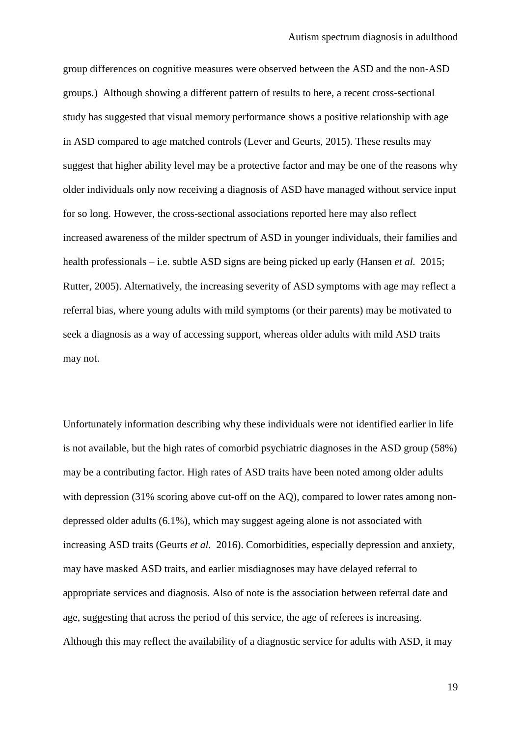group differences on cognitive measures were observed between the ASD and the non-ASD groups.) Although showing a different pattern of results to here, a recent cross-sectional study has suggested that visual memory performance shows a positive relationship with age in ASD compared to age matched controls (Lever and Geurts, 2015). These results may suggest that higher ability level may be a protective factor and may be one of the reasons why older individuals only now receiving a diagnosis of ASD have managed without service input for so long. However, the cross-sectional associations reported here may also reflect increased awareness of the milder spectrum of ASD in younger individuals, their families and health professionals – i.e. subtle ASD signs are being picked up early (Hansen *et al.* 2015; Rutter, 2005). Alternatively, the increasing severity of ASD symptoms with age may reflect a referral bias, where young adults with mild symptoms (or their parents) may be motivated to seek a diagnosis as a way of accessing support, whereas older adults with mild ASD traits may not.

Unfortunately information describing why these individuals were not identified earlier in life is not available, but the high rates of comorbid psychiatric diagnoses in the ASD group (58%) may be a contributing factor. High rates of ASD traits have been noted among older adults with depression (31% scoring above cut-off on the AQ), compared to lower rates among nondepressed older adults (6.1%), which may suggest ageing alone is not associated with increasing ASD traits (Geurts *et al.* 2016). Comorbidities, especially depression and anxiety, may have masked ASD traits, and earlier misdiagnoses may have delayed referral to appropriate services and diagnosis. Also of note is the association between referral date and age, suggesting that across the period of this service, the age of referees is increasing. Although this may reflect the availability of a diagnostic service for adults with ASD, it may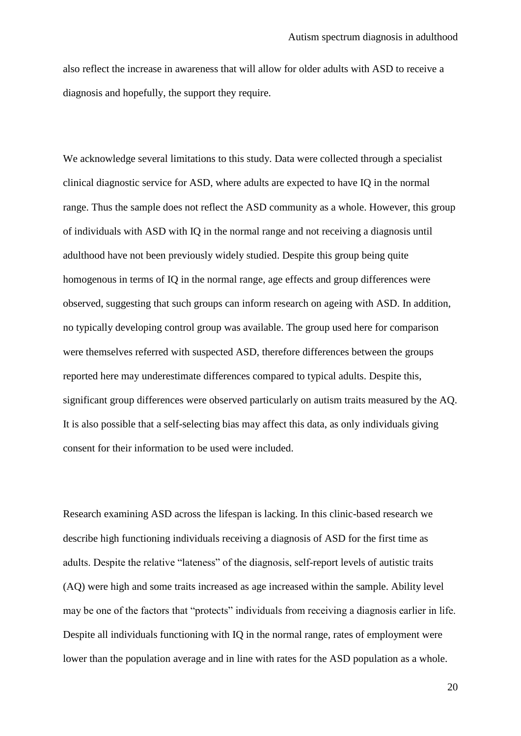also reflect the increase in awareness that will allow for older adults with ASD to receive a diagnosis and hopefully, the support they require.

We acknowledge several limitations to this study. Data were collected through a specialist clinical diagnostic service for ASD, where adults are expected to have IQ in the normal range. Thus the sample does not reflect the ASD community as a whole. However, this group of individuals with ASD with IQ in the normal range and not receiving a diagnosis until adulthood have not been previously widely studied. Despite this group being quite homogenous in terms of IQ in the normal range, age effects and group differences were observed, suggesting that such groups can inform research on ageing with ASD. In addition, no typically developing control group was available. The group used here for comparison were themselves referred with suspected ASD, therefore differences between the groups reported here may underestimate differences compared to typical adults. Despite this, significant group differences were observed particularly on autism traits measured by the AQ. It is also possible that a self-selecting bias may affect this data, as only individuals giving consent for their information to be used were included.

Research examining ASD across the lifespan is lacking. In this clinic-based research we describe high functioning individuals receiving a diagnosis of ASD for the first time as adults. Despite the relative "lateness" of the diagnosis, self-report levels of autistic traits (AQ) were high and some traits increased as age increased within the sample. Ability level may be one of the factors that "protects" individuals from receiving a diagnosis earlier in life. Despite all individuals functioning with IQ in the normal range, rates of employment were lower than the population average and in line with rates for the ASD population as a whole.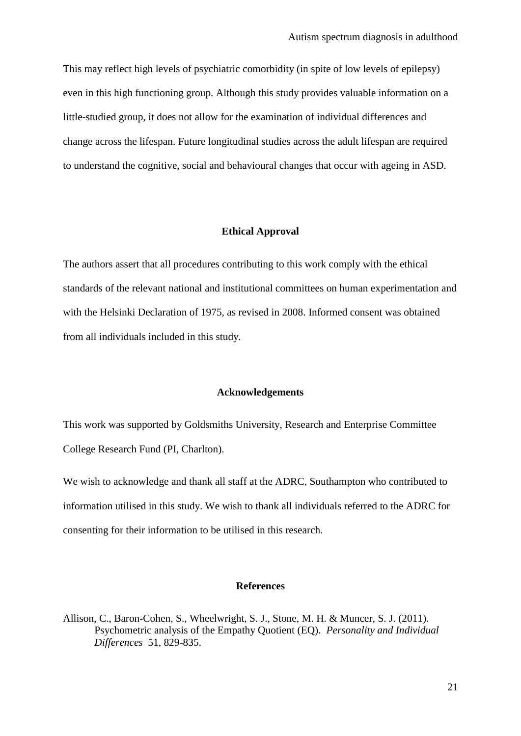This may reflect high levels of psychiatric comorbidity (in spite of low levels of epilepsy) even in this high functioning group. Although this study provides valuable information on a little-studied group, it does not allow for the examination of individual differences and change across the lifespan. Future longitudinal studies across the adult lifespan are required to understand the cognitive, social and behavioural changes that occur with ageing in ASD.

### **Ethical Approval**

The authors assert that all procedures contributing to this work comply with the ethical standards of the relevant national and institutional committees on human experimentation and with the Helsinki Declaration of 1975, as revised in 2008. Informed consent was obtained from all individuals included in this study.

#### **Acknowledgements**

This work was supported by Goldsmiths University, Research and Enterprise Committee College Research Fund (PI, Charlton).

We wish to acknowledge and thank all staff at the ADRC, Southampton who contributed to information utilised in this study. We wish to thank all individuals referred to the ADRC for consenting for their information to be utilised in this research.

#### **References**

Allison, C., Baron-Cohen, S., Wheelwright, S. J., Stone, M. H. & Muncer, S. J. (2011). Psychometric analysis of the Empathy Quotient (EQ). *Personality and Individual Differences* 51, 829-835.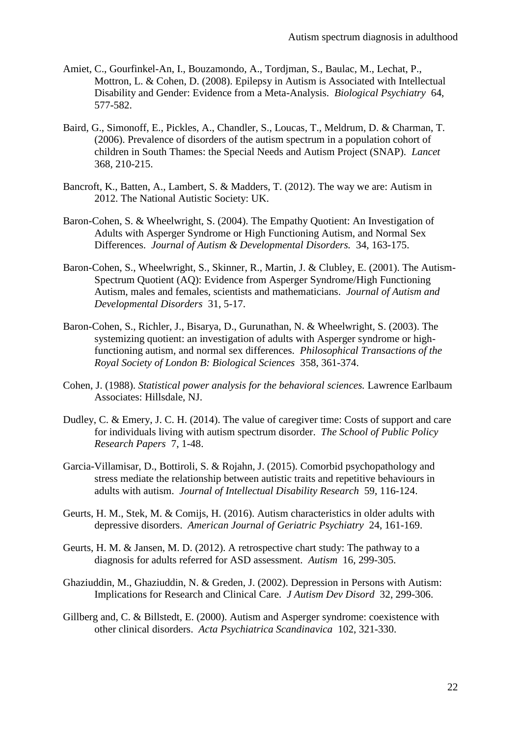- Amiet, C., Gourfinkel-An, I., Bouzamondo, A., Tordjman, S., Baulac, M., Lechat, P., Mottron, L. & Cohen, D. (2008). Epilepsy in Autism is Associated with Intellectual Disability and Gender: Evidence from a Meta-Analysis. *Biological Psychiatry* 64, 577-582.
- Baird, G., Simonoff, E., Pickles, A., Chandler, S., Loucas, T., Meldrum, D. & Charman, T. (2006). Prevalence of disorders of the autism spectrum in a population cohort of children in South Thames: the Special Needs and Autism Project (SNAP). *Lancet* 368, 210-215.
- Bancroft, K., Batten, A., Lambert, S. & Madders, T. (2012). The way we are: Autism in 2012. The National Autistic Society: UK.
- Baron-Cohen, S. & Wheelwright, S. (2004). The Empathy Quotient: An Investigation of Adults with Asperger Syndrome or High Functioning Autism, and Normal Sex Differences. *Journal of Autism & Developmental Disorders.* 34, 163-175.
- Baron-Cohen, S., Wheelwright, S., Skinner, R., Martin, J. & Clubley, E. (2001). The Autism-Spectrum Quotient (AQ): Evidence from Asperger Syndrome/High Functioning Autism, males and females, scientists and mathematicians. *Journal of Autism and Developmental Disorders* 31, 5-17.
- Baron-Cohen, S., Richler, J., Bisarya, D., Gurunathan, N. & Wheelwright, S. (2003). The systemizing quotient: an investigation of adults with Asperger syndrome or highfunctioning autism, and normal sex differences. *Philosophical Transactions of the Royal Society of London B: Biological Sciences* 358, 361-374.
- Cohen, J. (1988). *Statistical power analysis for the behavioral sciences.* Lawrence Earlbaum Associates: Hillsdale, NJ.
- Dudley, C. & Emery, J. C. H. (2014). The value of caregiver time: Costs of support and care for individuals living with autism spectrum disorder. *The School of Public Policy Research Papers* 7, 1-48.
- Garcia-Villamisar, D., Bottiroli, S. & Rojahn, J. (2015). Comorbid psychopathology and stress mediate the relationship between autistic traits and repetitive behaviours in adults with autism. *Journal of Intellectual Disability Research* 59, 116-124.
- Geurts, H. M., Stek, M. & Comijs, H. (2016). Autism characteristics in older adults with depressive disorders. *American Journal of Geriatric Psychiatry* 24, 161-169.
- Geurts, H. M. & Jansen, M. D. (2012). A retrospective chart study: The pathway to a diagnosis for adults referred for ASD assessment. *Autism* 16, 299-305.
- Ghaziuddin, M., Ghaziuddin, N. & Greden, J. (2002). Depression in Persons with Autism: Implications for Research and Clinical Care. *J Autism Dev Disord* 32, 299-306.
- Gillberg and, C. & Billstedt, E. (2000). Autism and Asperger syndrome: coexistence with other clinical disorders. *Acta Psychiatrica Scandinavica* 102, 321-330.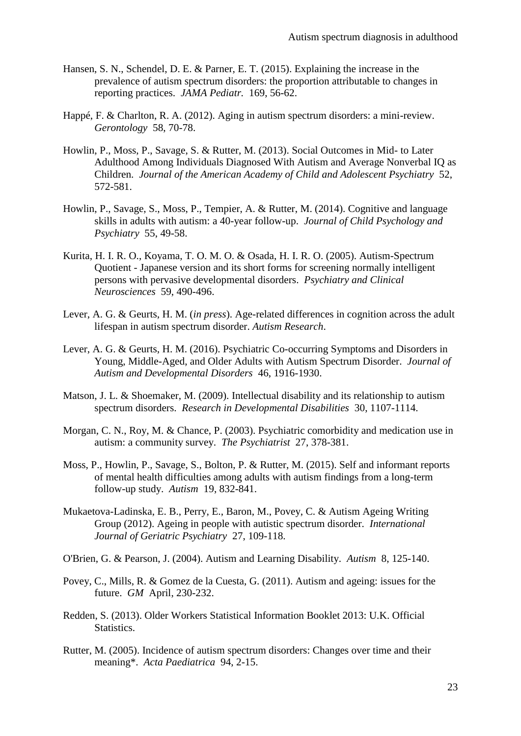- Hansen, S. N., Schendel, D. E. & Parner, E. T. (2015). Explaining the increase in the prevalence of autism spectrum disorders: the proportion attributable to changes in reporting practices. *JAMA Pediatr.* 169, 56-62.
- Happé, F. & Charlton, R. A. (2012). Aging in autism spectrum disorders: a mini-review. *Gerontology* 58, 70-78.
- Howlin, P., Moss, P., Savage, S. & Rutter, M. (2013). Social Outcomes in Mid- to Later Adulthood Among Individuals Diagnosed With Autism and Average Nonverbal IQ as Children. *Journal of the American Academy of Child and Adolescent Psychiatry* 52, 572-581.
- Howlin, P., Savage, S., Moss, P., Tempier, A. & Rutter, M. (2014). Cognitive and language skills in adults with autism: a 40-year follow-up. *Journal of Child Psychology and Psychiatry* 55, 49-58.
- Kurita, H. I. R. O., Koyama, T. O. M. O. & Osada, H. I. R. O. (2005). Autism-Spectrum Quotient - Japanese version and its short forms for screening normally intelligent persons with pervasive developmental disorders. *Psychiatry and Clinical Neurosciences* 59, 490-496.
- Lever, A. G. & Geurts, H. M. (*in press*). Age-related differences in cognition across the adult lifespan in autism spectrum disorder. *Autism Research*.
- Lever, A. G. & Geurts, H. M. (2016). Psychiatric Co-occurring Symptoms and Disorders in Young, Middle-Aged, and Older Adults with Autism Spectrum Disorder. *Journal of Autism and Developmental Disorders* 46, 1916-1930.
- Matson, J. L. & Shoemaker, M. (2009). Intellectual disability and its relationship to autism spectrum disorders. *Research in Developmental Disabilities* 30, 1107-1114.
- Morgan, C. N., Roy, M. & Chance, P. (2003). Psychiatric comorbidity and medication use in autism: a community survey. *The Psychiatrist* 27, 378-381.
- Moss, P., Howlin, P., Savage, S., Bolton, P. & Rutter, M. (2015). Self and informant reports of mental health difficulties among adults with autism findings from a long-term follow-up study. *Autism* 19, 832-841.
- Mukaetova-Ladinska, E. B., Perry, E., Baron, M., Povey, C. & Autism Ageing Writing Group (2012). Ageing in people with autistic spectrum disorder. *International Journal of Geriatric Psychiatry* 27, 109-118.
- O'Brien, G. & Pearson, J. (2004). Autism and Learning Disability. *Autism* 8, 125-140.
- Povey, C., Mills, R. & Gomez de la Cuesta, G. (2011). Autism and ageing: issues for the future. *GM* April, 230-232.
- Redden, S. (2013). Older Workers Statistical Information Booklet 2013: U.K. Official Statistics.
- Rutter, M. (2005). Incidence of autism spectrum disorders: Changes over time and their meaning\*. *Acta Paediatrica* 94, 2-15.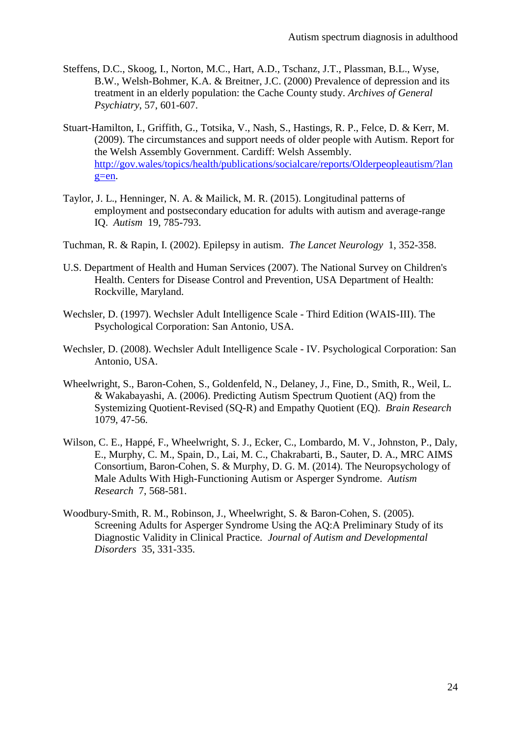- Steffens, D.C., Skoog, I., Norton, M.C., Hart, A.D., Tschanz, J.T., Plassman, B.L., Wyse, B.W., Welsh-Bohmer, K.A. & Breitner, J.C. (2000) Prevalence of depression and its treatment in an elderly population: the Cache County study. *Archives of General Psychiatry*, 57, 601-607.
- Stuart-Hamilton, I., Griffith, G., Totsika, V., Nash, S., Hastings, R. P., Felce, D. & Kerr, M. (2009). The circumstances and support needs of older people with Autism. Report for the Welsh Assembly Government. Cardiff: Welsh Assembly. [http://gov.wales/topics/health/publications/socialcare/reports/Olderpeopleautism/?lan](http://gov.wales/topics/health/publications/socialcare/reports/Olderpeopleautism/?lang=en) [g=en.](http://gov.wales/topics/health/publications/socialcare/reports/Olderpeopleautism/?lang=en)
- Taylor, J. L., Henninger, N. A. & Mailick, M. R. (2015). Longitudinal patterns of employment and postsecondary education for adults with autism and average-range IQ. *Autism* 19, 785-793.
- Tuchman, R. & Rapin, I. (2002). Epilepsy in autism. *The Lancet Neurology* 1, 352-358.
- U.S. Department of Health and Human Services (2007). The National Survey on Children's Health. Centers for Disease Control and Prevention, USA Department of Health: Rockville, Maryland.
- Wechsler, D. (1997). Wechsler Adult Intelligence Scale Third Edition (WAIS-III). The Psychological Corporation: San Antonio, USA.
- Wechsler, D. (2008). Wechsler Adult Intelligence Scale IV. Psychological Corporation: San Antonio, USA.
- Wheelwright, S., Baron-Cohen, S., Goldenfeld, N., Delaney, J., Fine, D., Smith, R., Weil, L. & Wakabayashi, A. (2006). Predicting Autism Spectrum Quotient (AQ) from the Systemizing Quotient-Revised (SQ-R) and Empathy Quotient (EQ). *Brain Research* 1079, 47-56.
- Wilson, C. E., Happé, F., Wheelwright, S. J., Ecker, C., Lombardo, M. V., Johnston, P., Daly, E., Murphy, C. M., Spain, D., Lai, M. C., Chakrabarti, B., Sauter, D. A., MRC AIMS Consortium, Baron-Cohen, S. & Murphy, D. G. M. (2014). The Neuropsychology of Male Adults With High-Functioning Autism or Asperger Syndrome. *Autism Research* 7, 568-581.
- Woodbury-Smith, R. M., Robinson, J., Wheelwright, S. & Baron-Cohen, S. (2005). Screening Adults for Asperger Syndrome Using the AQ:A Preliminary Study of its Diagnostic Validity in Clinical Practice. *Journal of Autism and Developmental Disorders* 35, 331-335.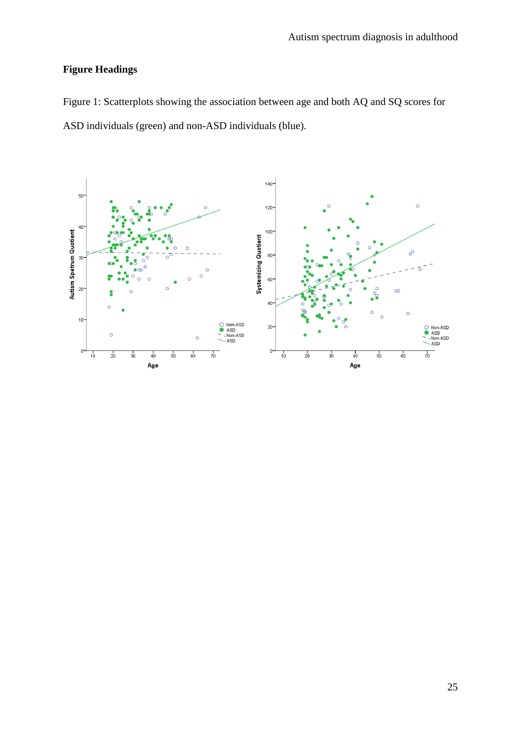# **Figure Headings**

Figure 1: Scatterplots showing the association between age and both AQ and SQ scores for ASD individuals (green) and non-ASD individuals (blue).

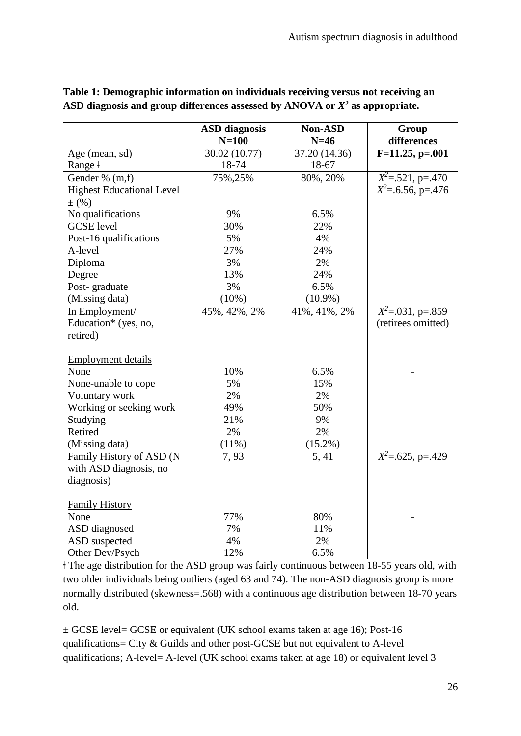|                                  | <b>ASD</b> diagnosis | <b>Non-ASD</b> | Group                           |
|----------------------------------|----------------------|----------------|---------------------------------|
|                                  | $N=100$              | $N=46$         | differences                     |
| Age (mean, sd)                   | 30.02 (10.77)        | 37.20 (14.36)  | $F=11.25, p=.001$               |
| Range ‡                          | 18-74                | 18-67          |                                 |
| Gender % (m,f)                   | 75%, 25%             | 80%, 20%       | $\overline{X^2}$ =.521, p=.470  |
| <b>Highest Educational Level</b> |                      |                | $\overline{X^2}$ =.6.56, p=.476 |
| $\pm$ (%)                        |                      |                |                                 |
| No qualifications                | 9%                   | 6.5%           |                                 |
| <b>GCSE</b> level                | 30%                  | 22%            |                                 |
| Post-16 qualifications           | 5%                   | 4%             |                                 |
| A-level                          | 27%                  | 24%            |                                 |
| Diploma                          | 3%                   | 2%             |                                 |
| Degree                           | 13%                  | 24%            |                                 |
| Post-graduate                    | 3%                   | 6.5%           |                                 |
| (Missing data)                   | (10%)                | $(10.9\%)$     |                                 |
| In Employment/                   | 45%, 42%, 2%         | 41%, 41%, 2%   | $X^2 = .031$ , p=.859           |
| Education* (yes, no,             |                      |                | (retirees omitted)              |
| retired)                         |                      |                |                                 |
|                                  |                      |                |                                 |
| <b>Employment details</b>        |                      |                |                                 |
| None                             | 10%                  | 6.5%           |                                 |
| None-unable to cope              | 5%                   | 15%            |                                 |
| Voluntary work                   | 2%                   | 2%             |                                 |
| Working or seeking work          | 49%                  | 50%            |                                 |
| Studying                         | 21%                  | 9%             |                                 |
| Retired                          | 2%                   | 2%             |                                 |
| (Missing data)                   | (11%)                | $(15.2\%)$     |                                 |
| Family History of ASD (N         | 7,93                 | 5, 41          | $\overline{X^2}$ =.625, p=.429  |
| with ASD diagnosis, no           |                      |                |                                 |
| diagnosis)                       |                      |                |                                 |
|                                  |                      |                |                                 |
| <b>Family History</b>            |                      |                |                                 |
| None                             | 77%                  | 80%            |                                 |
| ASD diagnosed                    | 7%                   | 11%            |                                 |
| ASD suspected                    | 4%                   | 2%             |                                 |
| Other Dev/Psych                  | 12%                  | 6.5%           |                                 |

# **Table 1: Demographic information on individuals receiving versus not receiving an ASD diagnosis and group differences assessed by ANOVA or** *X<sup>2</sup>* **as appropriate.**

 $\pm$  The age distribution for the ASD group was fairly continuous between 18-55 years old, with two older individuals being outliers (aged 63 and 74). The non-ASD diagnosis group is more normally distributed (skewness=.568) with a continuous age distribution between 18-70 years old.

± GCSE level= GCSE or equivalent (UK school exams taken at age 16); Post-16 qualifications= City & Guilds and other post-GCSE but not equivalent to A-level qualifications; A-level= A-level (UK school exams taken at age 18) or equivalent level 3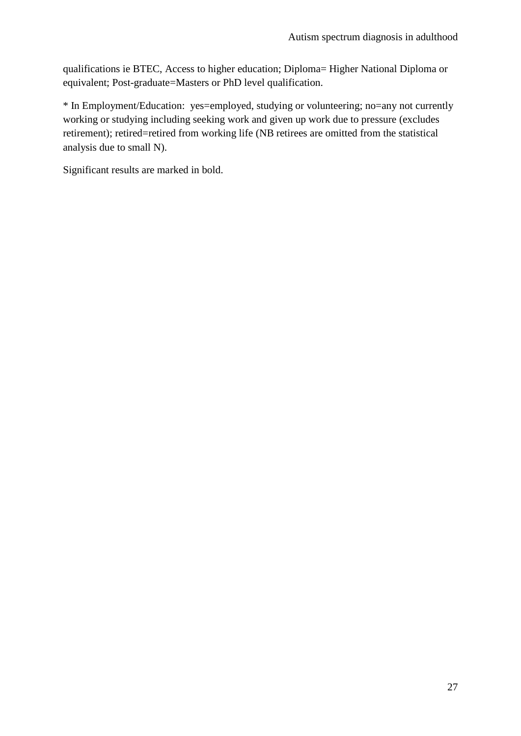qualifications ie BTEC, Access to higher education; Diploma= Higher National Diploma or equivalent; Post-graduate=Masters or PhD level qualification.

\* In Employment/Education: yes=employed, studying or volunteering; no=any not currently working or studying including seeking work and given up work due to pressure (excludes retirement); retired=retired from working life (NB retirees are omitted from the statistical analysis due to small N).

Significant results are marked in bold.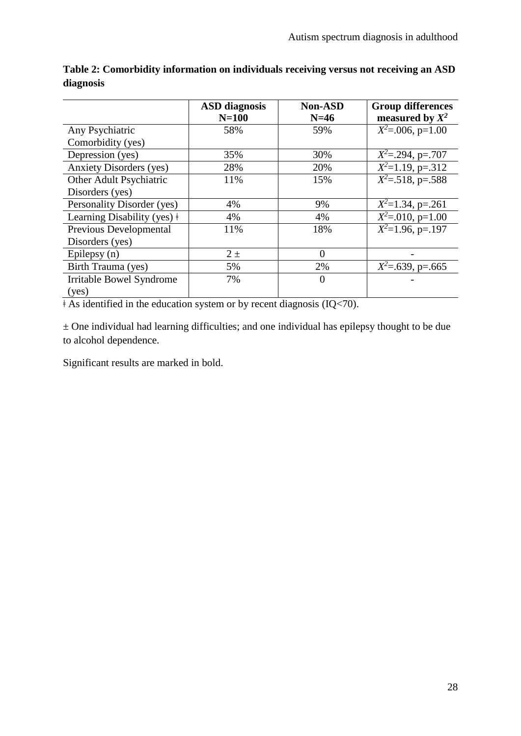|                                     | <b>ASD</b> diagnosis | <b>Non-ASD</b> | <b>Group differences</b> |
|-------------------------------------|----------------------|----------------|--------------------------|
|                                     | $N=100$              | $N=46$         | measured by $X^2$        |
| Any Psychiatric                     | 58%                  | 59%            | $X^2$ =.006, p=1.00      |
| Comorbidity (yes)                   |                      |                |                          |
| Depression (yes)                    | 35%                  | 30%            | $X^2 = .294$ , p=.707    |
| <b>Anxiety Disorders (yes)</b>      | 28%                  | 20%            | $X^2=1.19$ , p=.312      |
| Other Adult Psychiatric             | 11%                  | 15%            | $X^2 = 518$ , p=.588     |
| Disorders (yes)                     |                      |                |                          |
| Personality Disorder (yes)          | 4%                   | 9%             | $X^2=1.34$ , p=.261      |
| Learning Disability (yes) $\dagger$ | 4%                   | 4%             | $X^2 = 010$ , p=1.00     |
| Previous Developmental              | 11%                  | 18%            | $X^2=1.96$ , p=.197      |
| Disorders (yes)                     |                      |                |                          |
| Epilepsy (n)                        | $2\pm$               | 0              |                          |
| Birth Trauma (yes)                  | 5%                   | 2%             | $X^2$ =.639, p=.665      |
| <b>Irritable Bowel Syndrome</b>     | 7%                   | $\theta$       |                          |
| (yes)                               |                      |                |                          |

**Table 2: Comorbidity information on individuals receiving versus not receiving an ASD diagnosis**

 $\overline{\text{A}}$  As identified in the education system or by recent diagnosis (IQ<70).

 $\pm$  One individual had learning difficulties; and one individual has epilepsy thought to be due to alcohol dependence.

Significant results are marked in bold.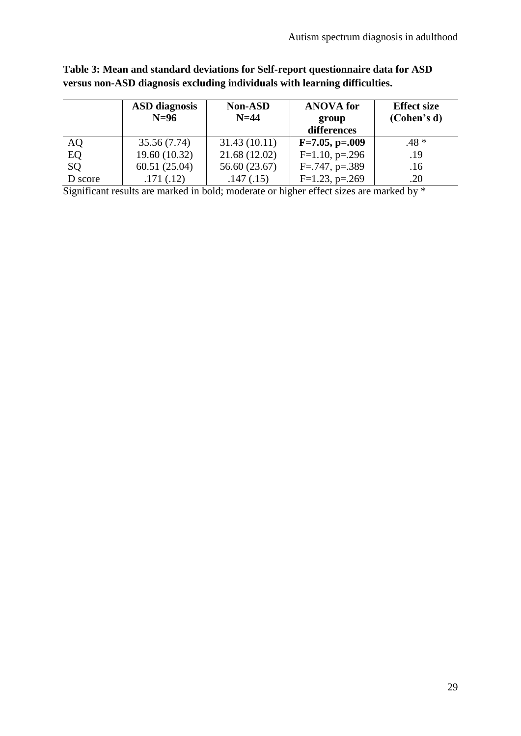|           | <b>ASD</b> diagnosis<br>$N=96$ | <b>Non-ASD</b><br>$N=44$ | <b>ANOVA</b> for<br>group<br>differences | <b>Effect size</b><br>(Cohen's d) |
|-----------|--------------------------------|--------------------------|------------------------------------------|-----------------------------------|
| <b>AQ</b> | 35.56 (7.74)                   | 31.43(10.11)             | $F=7.05, p=.009$                         | $.48*$                            |
| EQ        | 19.60 (10.32)                  | 21.68 (12.02)            | $F=1.10$ , p=.296                        | .19                               |
| SQ        | 60.51(25.04)                   | 56.60 (23.67)            | $F=.747, p=.389$                         | .16                               |
| D score   | .171(.12)                      | .147(.15)                | $F=1.23$ , p=.269                        | .20                               |

# **Table 3: Mean and standard deviations for Self-report questionnaire data for ASD versus non-ASD diagnosis excluding individuals with learning difficulties.**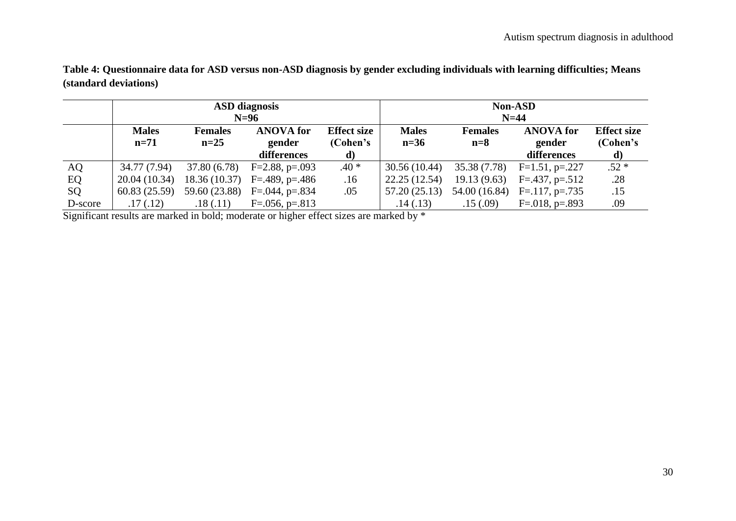|         | <b>ASD</b> diagnosis |                |                                |                    | <b>Non-ASD</b> |                |                              |                    |
|---------|----------------------|----------------|--------------------------------|--------------------|----------------|----------------|------------------------------|--------------------|
|         | $N=96$               |                |                                | $N=44$             |                |                |                              |                    |
|         | <b>Males</b>         | <b>Females</b> | <b>ANOVA</b> for               | <b>Effect size</b> | <b>Males</b>   | <b>Females</b> | <b>ANOVA</b> for             | <b>Effect size</b> |
|         | $n=71$               | $n=25$         | gender                         | (Cohen's           | $n=36$         | $n=8$          | gender                       | (Cohen's           |
|         |                      |                | differences                    | d)                 |                |                | differences                  | d)                 |
| AQ      | 34.77 (7.94)         |                | $37.80(6.78)$ F=2.88, p=.093   | $.40*$             | 30.56 (10.44)  | 35.38 (7.78)   | $F=1.51, p=.227$             | $.52*$             |
| EQ      | 20.04 (10.34)        |                | 18.36 (10.37) $F=.489, p=.486$ | .16                | 22.25 (12.54)  | 19.13(9.63)    | $F = .437, p = .512$         | .28                |
| SQ      | 60.83 (25.59)        |                | 59.60 $(23.88)$ F=.044, p=.834 | .05                | 57.20 (25.13)  |                | 54.00 (16.84) F=.117, p=.735 | .15                |
| D-score | .17(.12)             | .18(.11)       | $F=.056, p=.813$               |                    | .14(.13)       | .15(.09)       | $F = 018$ , p=.893           | .09                |

**Table 4: Questionnaire data for ASD versus non-ASD diagnosis by gender excluding individuals with learning difficulties; Means (standard deviations)**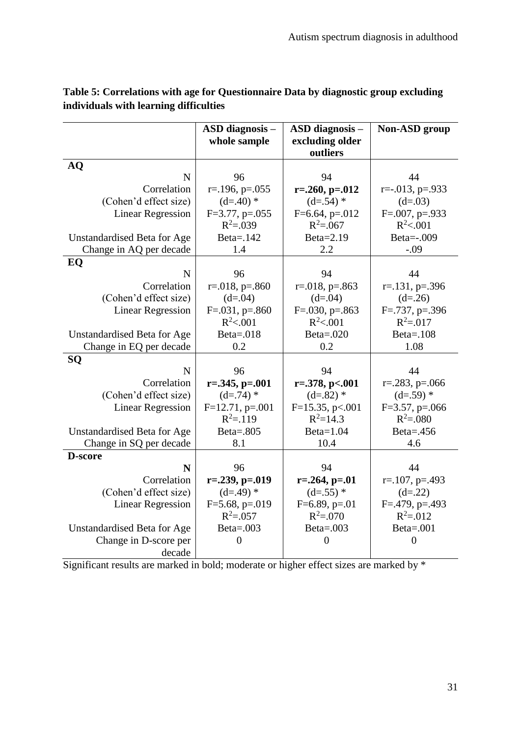|                             | <b>ASD</b> diagnosis -       | <b>ASD</b> diagnosis –    | <b>Non-ASD</b> group      |
|-----------------------------|------------------------------|---------------------------|---------------------------|
|                             | whole sample                 | excluding older           |                           |
|                             |                              | outliers                  |                           |
| <b>AQ</b>                   |                              |                           |                           |
| N                           | 96                           | 94                        | 44                        |
| Correlation                 | $r = 196$ , $p = 0.055$      | $r = 0.260$ , $p = 0.012$ | $r=-.013$ , $p=.933$      |
| (Cohen'd effect size)       | $(d=.40)$ *                  | $(d=.54)$ *               | $(d=.03)$                 |
| <b>Linear Regression</b>    | $F=3.77$ , p=.055            | $F=6.64$ , p=.012         | $F=.007, p=.933$          |
|                             | $R^2 = .039$                 | $R^2 = 0.067$             | $R^2 < 0.01$              |
| Unstandardised Beta for Age | Beta=.142                    | Beta=2.19                 | Beta=-.009                |
| Change in AQ per decade     | 1.4                          | 2.2                       | $-.09$                    |
| EQ                          |                              |                           |                           |
| N                           | 96                           | 94                        | 44                        |
| Correlation                 | $r = 018$ , $p = 0.860$      | $r = 018$ , $p = 0.863$   | $r = 131$ , $p = 0.396$   |
| (Cohen'd effect size)       | $(d=0.04)$                   | $(d=0.04)$                | $(d=.26)$                 |
| <b>Linear Regression</b>    | $F=.031, p=.860$             | $F=.030, p=.863$          | $F = .737$ , $p = .396$   |
|                             | $R^2 < 0.001$                | $R^2 < 0.001$             | $R^2 = 0.017$             |
| Unstandardised Beta for Age | Beta= $.018$<br>Beta= $.020$ |                           | Beta= $.108$              |
| Change in EQ per decade     | 0.2                          | 0.2                       | 1.08                      |
| SQ                          |                              |                           |                           |
| $\mathbf N$                 | 96                           | 94                        | 44                        |
| Correlation                 | $r=.345, p=.001$             | $r = 0.378$ , p $< 0.001$ | $r = 0.283$ , $p = 0.066$ |
| (Cohen'd effect size)       | $(d=.74)$ *                  | $(d=.82)$ *               | $(d=.59)$ *               |
| <b>Linear Regression</b>    | $F=12.71$ , p=.001           | $F=15.35, p<.001$         | $F=3.57$ , p=.066         |
|                             | $R^2 = 119$                  | $R^2 = 14.3$              | $R^2 = 0.080$             |
| Unstandardised Beta for Age | <b>Beta=.805</b>             | $Beta=1.04$               | Beta= $.456$              |
| Change in SQ per decade     | 8.1                          | 10.4                      | 4.6                       |
| D-score                     |                              |                           |                           |
| N                           | 96                           | 94                        | 44                        |
| Correlation                 | $r = 0.239$ , $p = 0.019$    | $r = 0.264$ , $p = 0.01$  | $r = 107$ , $p = 0.493$   |
| (Cohen'd effect size)       | $(d=.49)$ *                  | $(d=.55)*$                | $(d=.22)$                 |
| <b>Linear Regression</b>    | $F=5.68$ , p=.019            | $F=6.89, p=.01$           | $F = 0.479$ , p= .493     |
|                             | $R^2 = 0.057$                | $R^2 = 0.070$             | $R^2 = 012$               |
| Unstandardised Beta for Age | Beta= $.003$                 | Beta= $.003$              | $Beta = .001$             |
| Change in D-score per       | $\overline{0}$               | $\overline{0}$            | $\overline{0}$            |
| decade                      |                              |                           |                           |

# **Table 5: Correlations with age for Questionnaire Data by diagnostic group excluding individuals with learning difficulties**